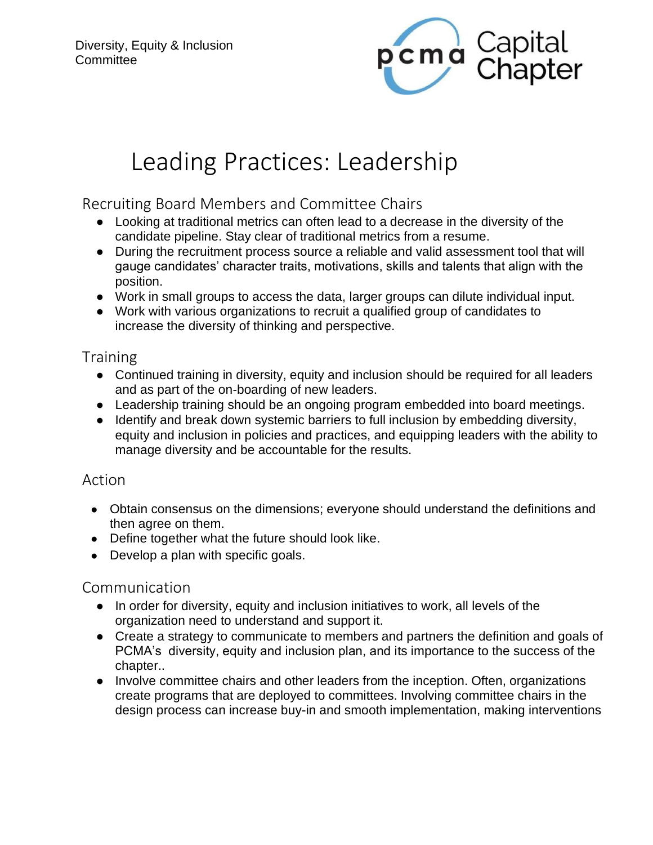

# Leading Practices: Leadership

# Recruiting Board Members and Committee Chairs

- Looking at traditional metrics can often lead to a decrease in the diversity of the candidate pipeline. Stay clear of traditional metrics from a resume.
- During the recruitment process source a reliable and valid assessment tool that will gauge candidates' character traits, motivations, skills and talents that align with the position.
- Work in small groups to access the data, larger groups can dilute individual input.
- Work with various organizations to recruit a qualified group of candidates to increase the diversity of thinking and perspective.

## **Training**

- Continued training in diversity, equity and inclusion should be required for all leaders and as part of the on-boarding of new leaders.
- Leadership training should be an ongoing program embedded into board meetings.
- Identify and break down systemic barriers to full inclusion by embedding diversity, equity and inclusion in policies and practices, and equipping leaders with the ability to manage diversity and be accountable for the results.

#### Action

- Obtain consensus on the dimensions; everyone should understand the definitions and then agree on them.
- Define together what the future should look like.
- Develop a plan with specific goals.

# Communication

- In order for diversity, equity and inclusion initiatives to work, all levels of the organization need to understand and support it.
- Create a strategy to communicate to members and partners the definition and goals of PCMA's diversity, equity and inclusion plan, and its importance to the success of the chapter..
- Involve committee chairs and other leaders from the inception. Often, organizations create programs that are deployed to committees. Involving committee chairs in the design process can increase buy-in and smooth implementation, making interventions